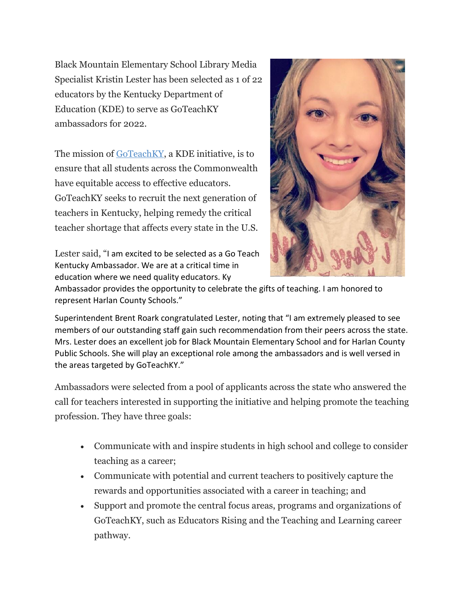Black Mountain Elementary School Library Media Specialist Kristin Lester has been selected as 1 of 22 educators by the Kentucky Department of Education (KDE) to serve as GoTeachKY ambassadors for 2022.

The mission of [GoTeachKY,](https://goteachky.com/) a KDE initiative, is to ensure that all students across the Commonwealth have equitable access to effective educators. GoTeachKY seeks to recruit the next generation of teachers in Kentucky, helping remedy the critical teacher shortage that affects every state in the U.S.

Lester said, "I am excited to be selected as a Go Teach Kentucky Ambassador. We are at a critical time in education where we need quality educators. Ky



Ambassador provides the opportunity to celebrate the gifts of teaching. I am honored to represent Harlan County Schools."

Superintendent Brent Roark congratulated Lester, noting that "I am extremely pleased to see members of our outstanding staff gain such recommendation from their peers across the state. Mrs. Lester does an excellent job for Black Mountain Elementary School and for Harlan County Public Schools. She will play an exceptional role among the ambassadors and is well versed in the areas targeted by GoTeachKY."

Ambassadors were selected from a pool of applicants across the state who answered the call for teachers interested in supporting the initiative and helping promote the teaching profession. They have three goals:

- Communicate with and inspire students in high school and college to consider teaching as a career;
- Communicate with potential and current teachers to positively capture the rewards and opportunities associated with a career in teaching; and
- Support and promote the central focus areas, programs and organizations of GoTeachKY, such as Educators Rising and the Teaching and Learning career pathway.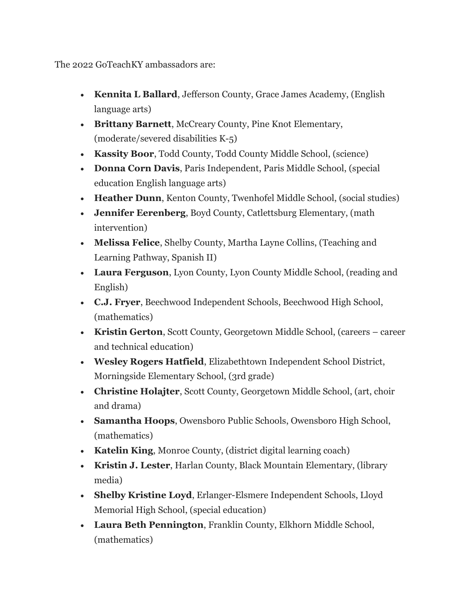The 2022 GoTeachKY ambassadors are:

- **Kennita L Ballard**, Jefferson County, Grace James Academy, (English language arts)
- **Brittany Barnett**, McCreary County, Pine Knot Elementary, (moderate/severed disabilities K-5)
- **Kassity Boor**, Todd County, Todd County Middle School, (science)
- **Donna Corn Davis**, Paris Independent, Paris Middle School, (special education English language arts)
- **Heather Dunn**, Kenton County, Twenhofel Middle School, (social studies)
- **Jennifer Eerenberg**, Boyd County, Catlettsburg Elementary, (math intervention)
- **Melissa Felice**, Shelby County, Martha Layne Collins, (Teaching and Learning Pathway, Spanish II)
- **Laura Ferguson**, Lyon County, Lyon County Middle School, (reading and English)
- **C.J. Fryer**, Beechwood Independent Schools, Beechwood High School, (mathematics)
- **Kristin Gerton**, Scott County, Georgetown Middle School, (careers career and technical education)
- **Wesley Rogers Hatfield**, Elizabethtown Independent School District, Morningside Elementary School, (3rd grade)
- **Christine Holajter**, Scott County, Georgetown Middle School, (art, choir and drama)
- **Samantha Hoops**, Owensboro Public Schools, Owensboro High School, (mathematics)
- **Katelin King**, Monroe County, (district digital learning coach)
- **Kristin J. Lester**, Harlan County, Black Mountain Elementary, (library media)
- **Shelby Kristine Loyd**, Erlanger-Elsmere Independent Schools, Lloyd Memorial High School, (special education)
- **Laura Beth Pennington**, Franklin County, Elkhorn Middle School, (mathematics)